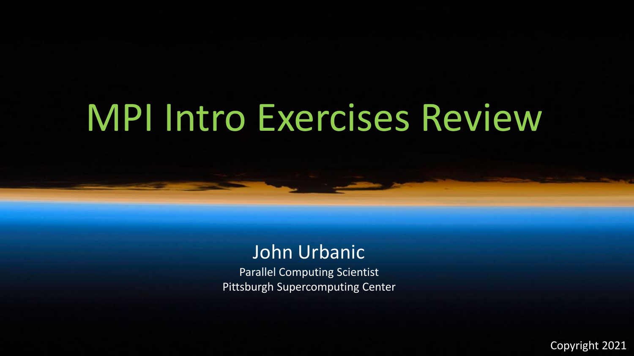# MPI Intro Exercises Review

# John Urbanic

Parallel Computing Scientist Pittsburgh Supercomputing Center

Copyright 2021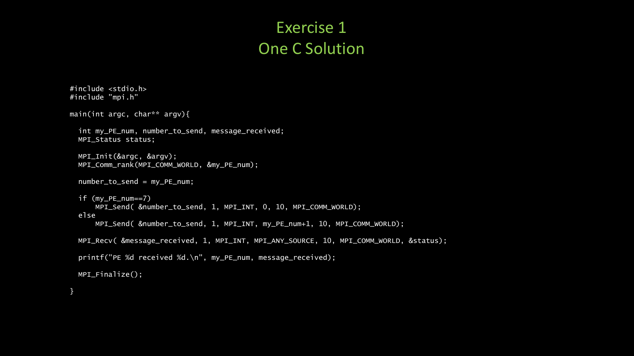### Exercise 1 One C Solution

```
#include <stdio.h>
#include "mpi.h"
main(int argc, char** argv){
  int my_PE_num, number_to_send, message_received;
  MPI_Status status;
  MPI_Init(&argc, &argv);
  MPI_Comm_rank(MPI_COMM_WORLD, &my_PE_num);
 number_to_send = my_PE_num;
  if (my_PE_num==7)
      MPI_Send( &number_to_send, 1, MPI_INT, 0, 10, MPI_COMM_WORLD);
  else
      MPI_Send( &number_to_send, 1, MPI_INT, my_PE_num+1, 10, MPI_COMM_WORLD);
 MPI_Recv( &message_received, 1, MPI_INT, MPI_ANY_SOURCE, 10, MPI_COMM_WORLD, &status);
  printf("PE %d received %d.\n", my_PE_num, message_received);
 MPI_Finalize();
```
}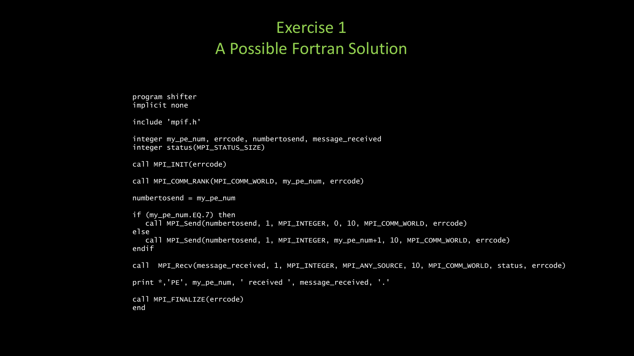### Exercise 1 A Possible Fortran Solution

```
program shifter
implicit none
include 'mpif.h'
integer my_pe_num, errcode, numbertosend, message_received
integer status(MPI_STATUS_SIZE)
call MPI_INIT(errcode)
call MPI_COMM_RANK(MPI_COMM_WORLD, my_pe_num, errcode)
numbertosend = my_pe_num
if (my_pe_num.EQ.7) then
   call MPI_Send(numbertosend, 1, MPI_INTEGER, 0, 10, MPI_COMM_WORLD, errcode)
else
   call MPI_Send(numbertosend, 1, MPI_INTEGER, my_pe_num+1, 10, MPI_COMM_WORLD, errcode)
endif
call MPI_Recv(message_received, 1, MPI_INTEGER, MPI_ANY_SOURCE, 10, MPI_COMM_WORLD, status, errcode)
print *,'PE', my_pe_num, ' received ', message_received, '.'
call MPI_FINALIZE(errcode)
```
end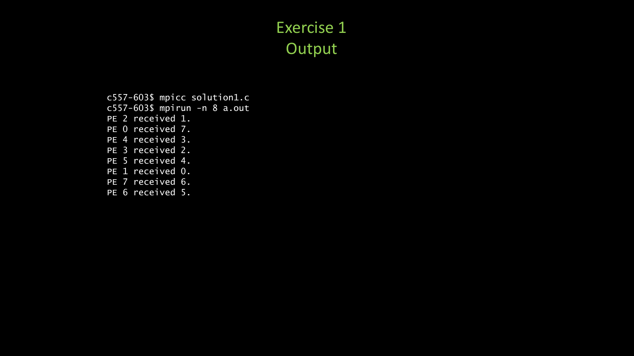## Exercise 1 **Output**

c557-603\$ mpicc solution1.c c557-603\$ mpirun -n 8 a.out PE 2 received 1. PE 0 received 7. PE 4 received 3. PE 3 received 2. PE 5 received 4. PE 1 received 0. PE 7 received 6. PE 6 received 5.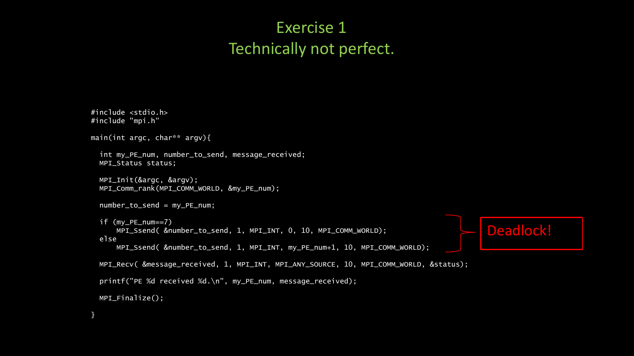## Exercise 1 Technically not perfect.

```
#include <stdio.h>
#include "mpi.h"
main(int argc, char** argv){
  int my_PE_num, number_to_send, message_received;
 MPI_Status status;
  MPI_Init(&argc, &argv);
 MPI_Comm_rank(MPI_COMM_WORLD, &my_PE_num);
  number_to_send = my_PE_num;
  if (my_PE_num==7)
      MPI_Ssend( &number_to_send, 1, MPI_INT, 0, 10, MPI_COMM_WORLD);
  else
      MPI_Ssend( &number_to_send, 1, MPI_INT, my_PE_num+1, 10, MPI_COMM_WORLD);
 MPI_Recv( &message_received, 1, MPI_INT, MPI_ANY_SOURCE, 10, MPI_COMM_WORLD, &status);
  printf("PE %d received %d.\n", my_PE_num, message_received);
 MPI_Finalize();
}
                                                                                           Deadlock!
```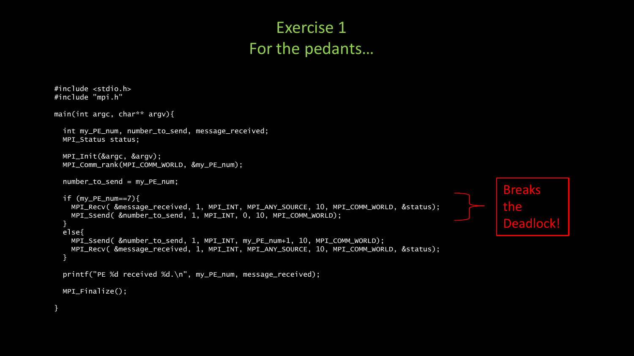### Exercise 1 For the pedants…

```
#include <stdio.h>
#include "mpi.h"
main(int argc, char** argv){
  int my_PE_num, number_to_send, message_received;
 MPI_Status status;
 MPI_Init(&argc, &argv);
 MPI_Comm_rank(MPI_COMM_WORLD, &my_PE_num);
 number_to_send = my_PE_num;
 if (my_PE_num==7){
   MPI_Recv( &message_received, 1, MPI_INT, MPI_ANY_SOURCE, 10, MPI_COMM_WORLD, &status);
   MPI_Ssend( &number_to_send, 1, MPI_INT, 0, 10, MPI_COMM_WORLD);
  }
  else{
   MPI_Ssend( &number_to_send, 1, MPI_INT, my_PE_num+1, 10, MPI_COMM_WORLD);
   MPI_Recv( &message_received, 1, MPI_INT, MPI_ANY_SOURCE, 10, MPI_COMM_WORLD, &status);
  }
  printf("PE %d received %d.\n", my_PE_num, message_received);
 MPI_Finalize();
}
                                                                                                       Breaks
                                                                                                        the
                                                                                                        Deadlock!
```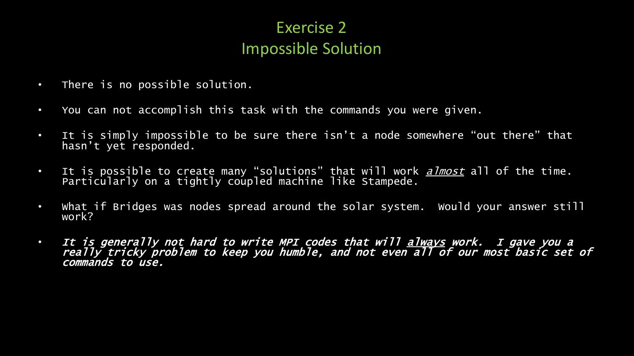## Exercise 2 Impossible Solution

- There is no possible solution.
- You can not accomplish this task with the commands you were given.
- It is simply impossible to be sure there isn't a node somewhere "out there" that hasn't yet responded.
- It is possible to create many "solutions" that will work <u>*almost*</u> all of the time. Particularly on a tightly coupled machine like Stampede.
- What if Bridges was nodes spread around the solar system. Would your answer still work?
- It is generally not hard to write MPI codes that will always work. I gave you a really tricky problem to keep you humble, and not even all of our most basic set of commands to use.